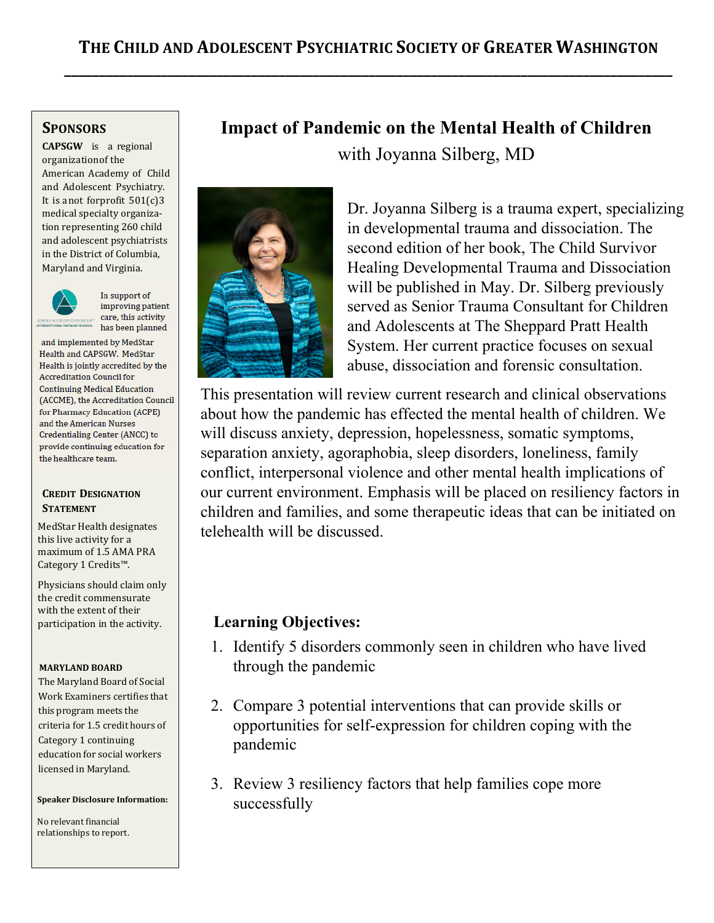## **SPONSORS**

**CAPSGW** is a regional organization of the American Academy of Child and Adolescent Psychiatry. It is anot forprofit 501(c)3 medical specialty organization representing 260 child and adolescent psychiatrists in the District of Columbia, Maryland and Virginia.



In support of improving patient care, this activity has been planned

and implemented by MedStar Health and CAPSGW. MedStar **Health is jointly accredited by the Accreditation Council for Continuing Medical Education** (ACCME), the Accreditation Council for Pharmacy Education (ACPE) and the American Nurses Credentialing Center (ANCC) to provide continuing education for the healthcare team.

### **CREDIT DESIGNATION STATEMENT**

MedStar Health designates this live activity for a maximum of 1.5 AMA PRA Category 1 Credits™.

Physicians should claim only the credit commensurate with the extent of their participation in the activity.

### **MARYLAND BOARD**

The Maryland Board of Social Work Examiners certifies that this program meets the criteria for 1.5 credit hours of Category 1 continuing education for social workers licensed in Maryland.

#### **Speaker Disclosure Information:**

No relevant financial relationships to report.

# **Impact of Pandemic on the Mental Health of Children**  with Joyanna Silberg, MD



Dr. Joyanna Silberg is a trauma expert, specializing in developmental trauma and dissociation. The second edition of her book, The Child Survivor Healing Developmental Trauma and Dissociation will be published in May. Dr. Silberg previously served as Senior Trauma Consultant for Children and Adolescents at The Sheppard Pratt Health System. Her current practice focuses on sexual abuse, dissociation and forensic consultation.

This presentation will review current research and clinical observations about how the pandemic has effected the mental health of children. We will discuss anxiety, depression, hopelessness, somatic symptoms, separation anxiety, agoraphobia, sleep disorders, loneliness, family conflict, interpersonal violence and other mental health implications of our current environment. Emphasis will be placed on resiliency factors in children and families, and some therapeutic ideas that can be initiated on telehealth will be discussed.

## **Learning Objectives:**

- 1. Identify 5 disorders commonly seen in children who have lived through the pandemic
- 2. Compare 3 potential interventions that can provide skills or opportunities for self-expression for children coping with the pandemic
- 3. Review 3 resiliency factors that help families cope more successfully